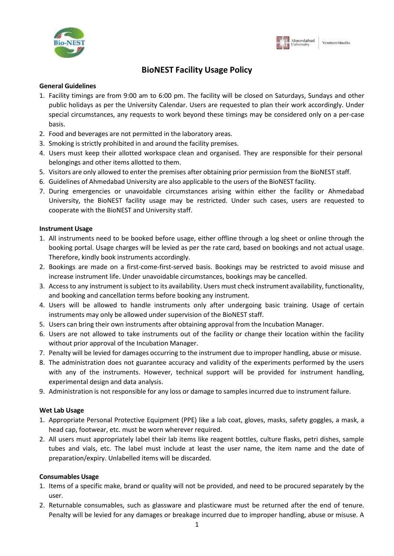



## **BioNEST Facility Usage Policy**

#### **General Guidelines**

- 1. Facility timings are from 9:00 am to 6:00 pm. The facility will be closed on Saturdays, Sundays and other public holidays as per the University Calendar. Users are requested to plan their work accordingly. Under special circumstances, any requests to work beyond these timings may be considered only on a per-case basis.
- 2. Food and beverages are not permitted in the laboratory areas.
- 3. Smoking is strictly prohibited in and around the facility premises.
- 4. Users must keep their allotted workspace clean and organised. They are responsible for their personal belongings and other items allotted to them.
- 5. Visitors are only allowed to enter the premises after obtaining prior permission from the BioNEST staff.
- 6. Guidelines of Ahmedabad University are also applicable to the users of the BioNEST facility.
- 7. During emergencies or unavoidable circumstances arising within either the facility or Ahmedabad University, the BioNEST facility usage may be restricted. Under such cases, users are requested to cooperate with the BioNEST and University staff.

#### **Instrument Usage**

- 1. All instruments need to be booked before usage, either offline through a log sheet or online through the booking portal. Usage charges will be levied as per the rate card, based on bookings and not actual usage. Therefore, kindly book instruments accordingly.
- 2. Bookings are made on a first-come-first-served basis. Bookings may be restricted to avoid misuse and increase instrument life. Under unavoidable circumstances, bookings may be cancelled.
- 3. Accessto any instrument issubject to its availability. Users must check instrument availability, functionality, and booking and cancellation terms before booking any instrument.
- 4. Users will be allowed to handle instruments only after undergoing basic training. Usage of certain instruments may only be allowed under supervision of the BioNEST staff.
- 5. Users can bring their own instruments after obtaining approval from the Incubation Manager.
- 6. Users are not allowed to take instruments out of the facility or change their location within the facility without prior approval of the Incubation Manager.
- 7. Penalty will be levied for damages occurring to the instrument due to improper handling, abuse or misuse.
- 8. The administration does not guarantee accuracy and validity of the experiments performed by the users with any of the instruments. However, technical support will be provided for instrument handling, experimental design and data analysis.
- 9. Administration is not responsible for any loss or damage to samples incurred due to instrument failure.

#### **Wet Lab Usage**

- 1. Appropriate Personal Protective Equipment (PPE) like a lab coat, gloves, masks, safety goggles, a mask, a head cap, footwear, etc. must be worn wherever required.
- 2. All users must appropriately label their lab items like reagent bottles, culture flasks, petri dishes, sample tubes and vials, etc. The label must include at least the user name, the item name and the date of preparation/expiry. Unlabelled items will be discarded.

#### **Consumables Usage**

- 1. Items of a specific make, brand or quality will not be provided, and need to be procured separately by the user.
- 2. Returnable consumables, such as glassware and plasticware must be returned after the end of tenure. Penalty will be levied for any damages or breakage incurred due to improper handling, abuse or misuse. A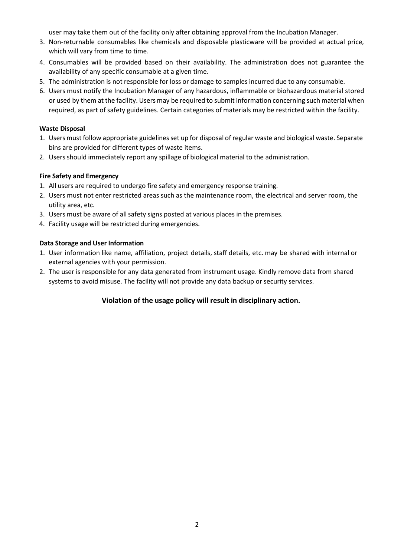user may take them out of the facility only after obtaining approval from the Incubation Manager.

- 3. Non-returnable consumables like chemicals and disposable plasticware will be provided at actual price, which will vary from time to time.
- 4. Consumables will be provided based on their availability. The administration does not guarantee the availability of any specific consumable at a given time.
- 5. The administration is not responsible for loss or damage to samples incurred due to any consumable.
- 6. Users must notify the Incubation Manager of any hazardous, inflammable or biohazardous material stored or used by them at the facility. Users may be required to submit information concerning such material when required, as part of safety guidelines. Certain categories of materials may be restricted within the facility.

## **Waste Disposal**

- 1. Users must follow appropriate guidelines set up for disposal of regular waste and biological waste. Separate bins are provided for different types of waste items.
- 2. Users should immediately report any spillage of biological material to the administration.

## **Fire Safety and Emergency**

- 1. All users are required to undergo fire safety and emergency response training.
- 2. Users must not enter restricted areas such as the maintenance room, the electrical and server room, the utility area, etc.
- 3. Users must be aware of allsafety signs posted at various places in the premises.
- 4. Facility usage will be restricted during emergencies.

## **Data Storage and User Information**

- 1. User information like name, affiliation, project details, staff details, etc. may be shared with internal or external agencies with your permission.
- 2. The user is responsible for any data generated from instrument usage. Kindly remove data from shared systems to avoid misuse. The facility will not provide any data backup or security services.

## **Violation of the usage policy will result in disciplinary action.**